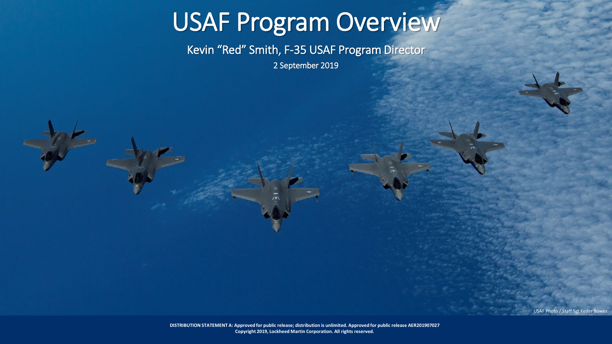# USAF Program Overview

Kevin "Red" Smith, F-35 USAF Program Director

2 September 2019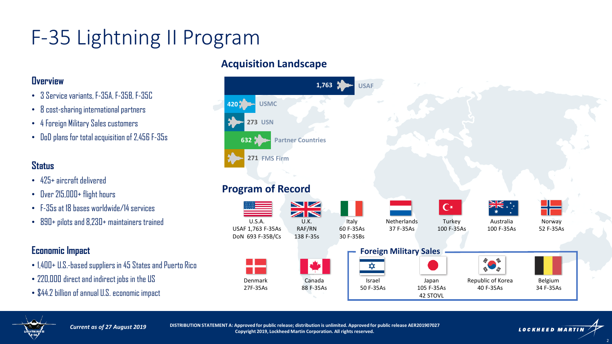### F-35 Lightning II Program

#### **Overview**

- 3 Service variants, F-35A, F-35B, F-35C
- 8 cost-sharing international partners
- 4 Foreign Military Sales customers
- DoD plans for total acquisition of 2,456 F-35s

#### **Status**

- 425+ aircraft delivered
- Over 215,000+ flight hours
- F-35s at 18 bases worldwide/14 services
- 890+ pilots and 8,230+ maintainers trained

### **Economic Impact**

- 1,400+ U.S.-based suppliers in 45 States and Puerto Rico
- 220,000 direct and indirect jobs in the US
- \$44.2 billion of annual U.S. economic impact

#### **Acquisition Landscape**





*Current as of 27 August 2019*

**DISTRIBUTION STATEMENT A: Approved for public release; distribution is unlimited. Approved for public release AER201907027 Copyright 2019, Lockheed Martin Corporation. All rights reserved.**

**LOCKHEED MARTIN**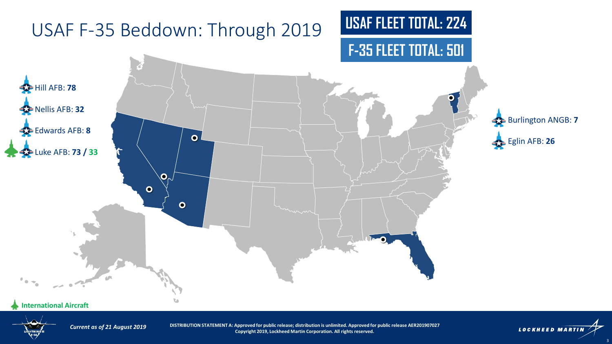

#### **International Aircraft**



*Current as of 21 August 2019*

**DISTRIBUTION STATEMENT A: Approved for public release; distribution is unlimited. Approved for public release AER201907027 Copyright 2019, Lockheed Martin Corporation. All rights reserved.**

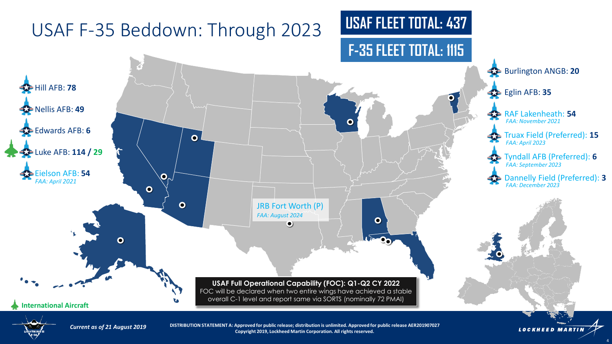

*Current as of 21 August 2019*

**DISTRIBUTION STATEMENT A: Approved for public release; distribution is unlimited. Approved for public release AER201907027 Copyright 2019, Lockheed Martin Corporation. All rights reserved.**

**LOCKHEED MARTIN**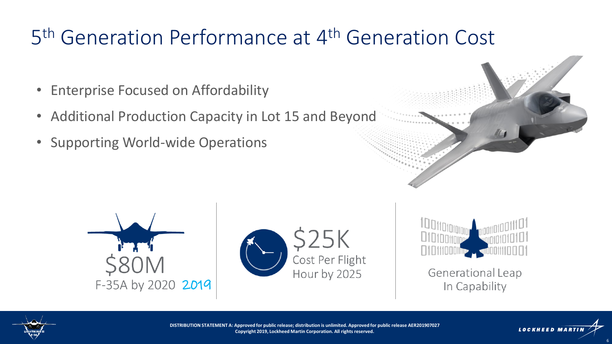## 5<sup>th</sup> Generation Performance at 4<sup>th</sup> Generation Cost

- Enterprise Focused on Affordability
- Additional Production Capacity in Lot 15 and Beyond
- Supporting World-wide Operations









Generational Leap In Capability



**DISTRIBUTION STATEMENT A: Approved for public release; distribution is unlimited. Approved for public release AER201907027 Copyright 2019, Lockheed Martin Corporation. All rights reserved.**



6